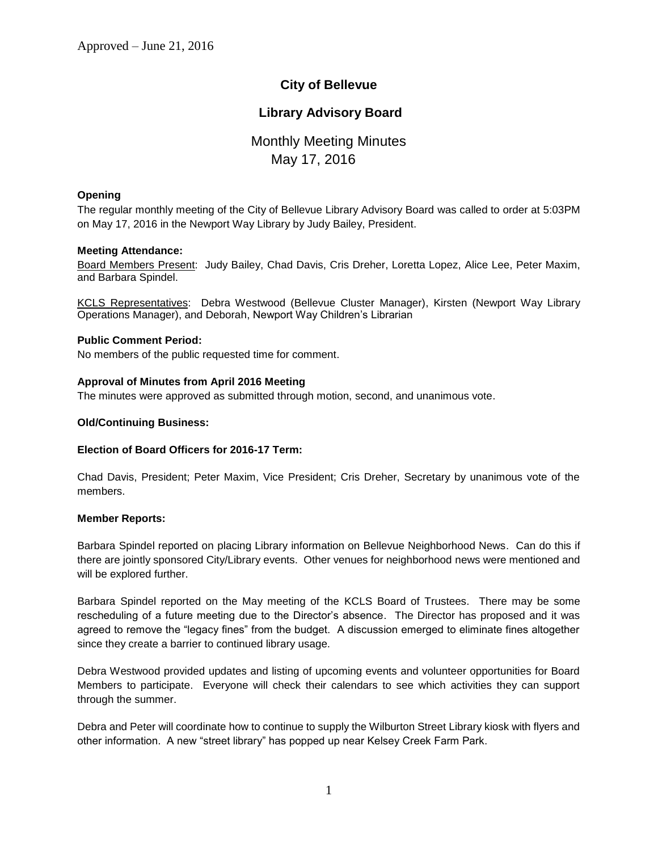# **City of Bellevue**

## **Library Advisory Board**

# Monthly Meeting Minutes May 17, 2016

## **Opening**

The regular monthly meeting of the City of Bellevue Library Advisory Board was called to order at 5:03PM on May 17, 2016 in the Newport Way Library by Judy Bailey, President.

## **Meeting Attendance:**

Board Members Present: Judy Bailey, Chad Davis, Cris Dreher, Loretta Lopez, Alice Lee, Peter Maxim, and Barbara Spindel.

KCLS Representatives: Debra Westwood (Bellevue Cluster Manager), Kirsten (Newport Way Library Operations Manager), and Deborah, Newport Way Children's Librarian

## **Public Comment Period:**

No members of the public requested time for comment.

## **Approval of Minutes from April 2016 Meeting**

The minutes were approved as submitted through motion, second, and unanimous vote.

## **Old/Continuing Business:**

## **Election of Board Officers for 2016-17 Term:**

Chad Davis, President; Peter Maxim, Vice President; Cris Dreher, Secretary by unanimous vote of the members.

## **Member Reports:**

Barbara Spindel reported on placing Library information on Bellevue Neighborhood News. Can do this if there are jointly sponsored City/Library events. Other venues for neighborhood news were mentioned and will be explored further.

Barbara Spindel reported on the May meeting of the KCLS Board of Trustees. There may be some rescheduling of a future meeting due to the Director's absence. The Director has proposed and it was agreed to remove the "legacy fines" from the budget. A discussion emerged to eliminate fines altogether since they create a barrier to continued library usage.

Debra Westwood provided updates and listing of upcoming events and volunteer opportunities for Board Members to participate. Everyone will check their calendars to see which activities they can support through the summer.

Debra and Peter will coordinate how to continue to supply the Wilburton Street Library kiosk with flyers and other information. A new "street library" has popped up near Kelsey Creek Farm Park.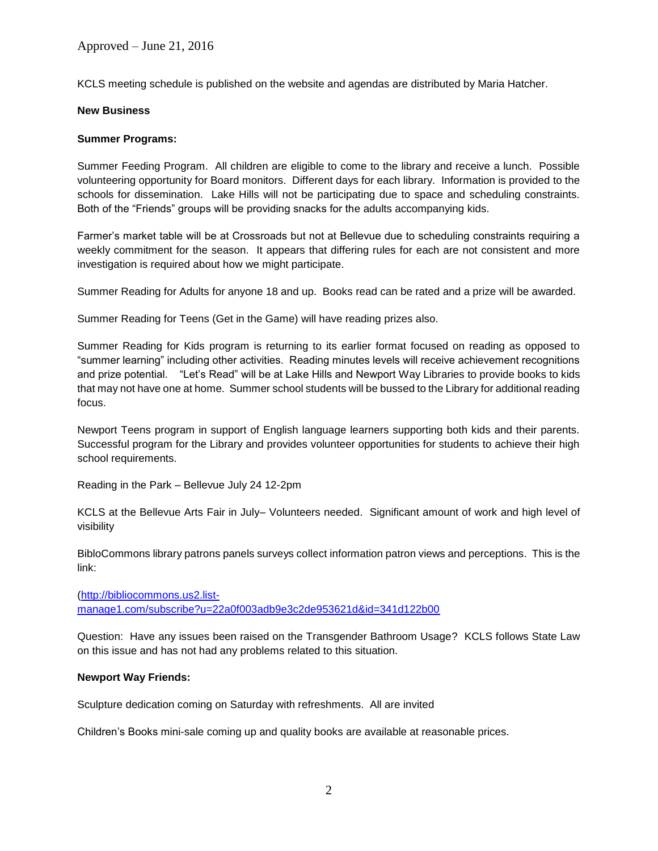Approved – June 21, 2016

KCLS meeting schedule is published on the website and agendas are distributed by Maria Hatcher.

## **New Business**

## **Summer Programs:**

Summer Feeding Program. All children are eligible to come to the library and receive a lunch. Possible volunteering opportunity for Board monitors. Different days for each library. Information is provided to the schools for dissemination. Lake Hills will not be participating due to space and scheduling constraints. Both of the "Friends" groups will be providing snacks for the adults accompanying kids.

Farmer's market table will be at Crossroads but not at Bellevue due to scheduling constraints requiring a weekly commitment for the season. It appears that differing rules for each are not consistent and more investigation is required about how we might participate.

Summer Reading for Adults for anyone 18 and up. Books read can be rated and a prize will be awarded.

Summer Reading for Teens (Get in the Game) will have reading prizes also.

Summer Reading for Kids program is returning to its earlier format focused on reading as opposed to "summer learning" including other activities. Reading minutes levels will receive achievement recognitions and prize potential. "Let's Read" will be at Lake Hills and Newport Way Libraries to provide books to kids that may not have one at home. Summer school students will be bussed to the Library for additional reading focus.

Newport Teens program in support of English language learners supporting both kids and their parents. Successful program for the Library and provides volunteer opportunities for students to achieve their high school requirements.

Reading in the Park – Bellevue July 24 12-2pm

KCLS at the Bellevue Arts Fair in July– Volunteers needed. Significant amount of work and high level of visibility

BibloCommons library patrons panels surveys collect information patron views and perceptions. This is the link:

[\(http://bibliocommons.us2.list](http://bibliocommons.us2.list-manage1.com/subscribe?u=22a0f003adb9e3c2de953621d&id=341d122b00)[manage1.com/subscribe?u=22a0f003adb9e3c2de953621d&id=341d122b00](http://bibliocommons.us2.list-manage1.com/subscribe?u=22a0f003adb9e3c2de953621d&id=341d122b00)

Question: Have any issues been raised on the Transgender Bathroom Usage? KCLS follows State Law on this issue and has not had any problems related to this situation.

## **Newport Way Friends:**

Sculpture dedication coming on Saturday with refreshments. All are invited

Children's Books mini-sale coming up and quality books are available at reasonable prices.